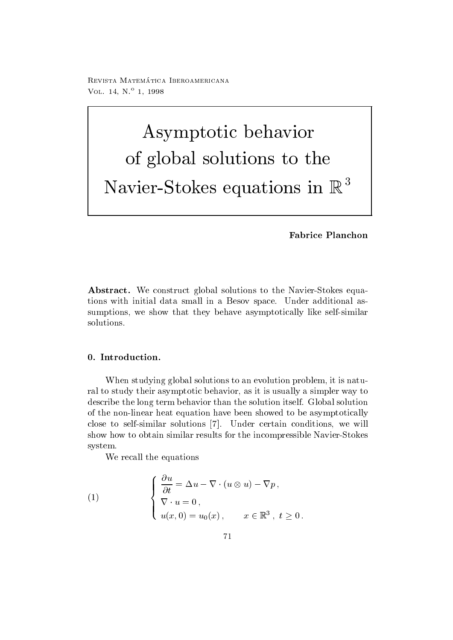reprisonal matematica - abbateonimbat ontara VOL. 14, N.º 1, 1998

# Asymptotic behavior of global solutions to the Navier-Stokes equations in <sup>R</sup>

## Fabrice Planchon

Abstract- We construct global solutions to the Navier-Stokes equations with initial data small in a Besov space Under additional assumptions we show that they behave asymptotically like self-similar solutions

When studying global solutions to an evolution problem, it is natural to study their asymptotic behavior, as it is usually a simpler way to describe the long term behavior than the solution itself. Global solution of the non-linear heat equation have been showed to be asymptotically close to self-self-solutions in the solutions were will be absolutely conditions we will be absolutely conditions w show how to obtain similar similar results for the incomparative results for the income  $\sim$ system

We recall the equations

(1) 
$$
\begin{cases} \frac{\partial u}{\partial t} = \Delta u - \nabla \cdot (u \otimes u) - \nabla p, \\ \nabla \cdot u = 0, \\ u(x, 0) = u_0(x), \qquad x \in \mathbb{R}^3, \ t \ge 0. \end{cases}
$$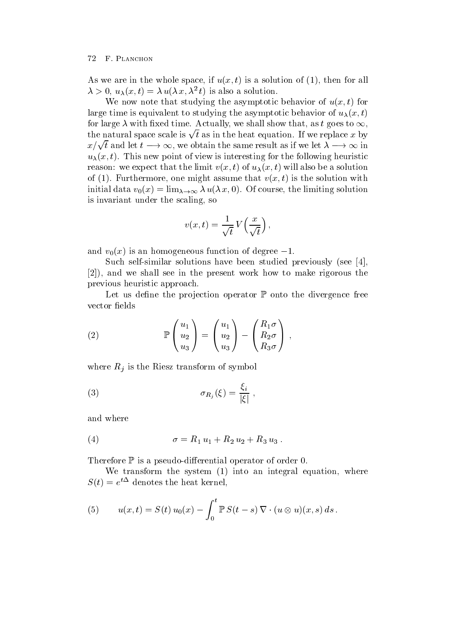The we are in the whole space, if  $u(x, y)$  is a solution of  $(1)$ , then for all  $\lambda > 0$ ,  $u_{\lambda}(x, t) = \lambda u(\lambda x, \lambda t)$  is also a solution.

We now note that studying the asymptotic behavior of  $u(x, t)$  for large time is equivalent to studying the asymptotic behavior of  $u_{\lambda}(x, t)$ for large  $\lambda$  with fixed time. Actually, we shall show that, as  $t$  goes to  $\infty,$  the natural space scale is  $\sqrt{t}$  as in the heat equation. If we replace  $x$  by  $x/\sqrt{t}$  and let  $t \longrightarrow \infty$ , we obtain the same result as if we let  $\lambda \longrightarrow \infty$  in  $u_{\lambda}(x, v)$ . This new point of view is interesting for the following neuristic reason. We expect that the minit  $v(x, v)$  or  $u_\lambda(x, v)$  will also be a solution of  $\{1\}$ . Furthermore, one might assume that  $v(x, t)$  is the solution with  $\liminf_{\alpha \to \infty} \alpha_0(u) = \lim_{\alpha \to \infty} \alpha_0(u, u, 0)$ . Of course, the military solution is invariant under the scaling, so

$$
v(x,t) = \frac{1}{\sqrt{t}} V\left(\frac{x}{\sqrt{t}}\right),\,
$$

and  $v_0(x)$  is an homogeneous function of degree  $-r$ .

such self-studied solutions have been studied previously seed the studies of the studies of the studies of the and we shall see in the seeding present work how to make rigorous the seeding previous heuristic approach

Let us define the projection operator  $\mathbb P$  onto the divergence free vector fields

(2) 
$$
\mathbb{P}\begin{pmatrix} u_1 \\ u_2 \\ u_3 \end{pmatrix} = \begin{pmatrix} u_1 \\ u_2 \\ u_3 \end{pmatrix} - \begin{pmatrix} R_1 \sigma \\ R_2 \sigma \\ R_3 \sigma \end{pmatrix},
$$

where  $R_i$  is the Riesz transform of symbol

(3) 
$$
\sigma_{R_j}(\xi) = \frac{\xi_i}{|\xi|},
$$

and where

(4) 
$$
\sigma = R_1 u_1 + R_2 u_2 + R_3 u_3.
$$

Therefore <sup>P</sup> is a pseudo-dierential operator of order

where the system into a integral equation where  $\mathcal{A}$  is an integral equation where  $\mathcal{A}$  $S(t) \equiv e^{-t}$  denotes the heat kernel,

(5) 
$$
u(x,t) = S(t) u_0(x) - \int_0^t \mathbb{P} S(t-s) \nabla \cdot (u \otimes u)(x,s) ds.
$$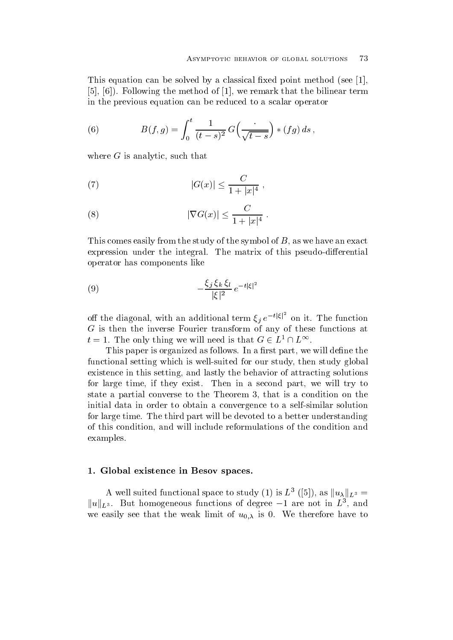This equation can be solved by a classical fixed point method (see [1], Following the method of we remark that the bilinear term in the previous equation can be reduced to a scalar operator

(6) 
$$
B(f,g) = \int_0^t \frac{1}{(t-s)^2} G\left(\frac{1}{\sqrt{t-s}}\right) * (fg) ds,
$$

where  $G$  is analytic, such that

(7) 
$$
|G(x)| \le \frac{C}{1+|x|^4}
$$
,

(8) 
$$
|\nabla G(x)| \leq \frac{C}{1+|x|^4}.
$$

This comes easily from the study of the symbol of  $B$ , as we have an exact expression under the integral The matrix of this pseudo-dierential operator has components like

(9) 
$$
-\frac{\xi_j \xi_k \xi_l}{|\xi|^2} e^{-t|\xi|^2}
$$

off the diagonal, with an additional term  $\xi_i e^{-t |\xi|}$  on it. The function  $G$  is the inverse function of any of any of the inverse functions at  $\alpha$  and  $\alpha$  and  $\alpha$  functions at  $\alpha$  $t = 1$ . The only thing we will need is that  $G \in L^{\infty}$ .

This paper is organized as follows. In a first part, we will define the functional setting which is well-defined for our study global setting  $\mathcal{M}$  . Then study global study global study global study global study global study global study global study global study global study global study existence in this setting, and lastly the behavior of attracting solutions for large time, if they exist. Then in a second part, we will try to state a partial converse to the Theorem 3, that is a condition on the initial data in order to obtain a convergence to a self-similar solution for large time. The third part will be devoted to a better understanding of this condition, and will include reformulations of the condition and examples

### - Global existence in Besov spaces-spaces-spaces-spaces-spaces-spaces-spaces-spaces-spaces-spaces-spaces-space

A well suited functional space to study (1) is  $L^3$  ([5]), as  $||u_\lambda||_{L^3} =$  $\|u\|_{L^3}$ . But homogeneous functions of degree  $-1$  are not in  $L^3,$  and we easily see that the weak limit of  $u_{0,\lambda}$  is 0. We therefore have to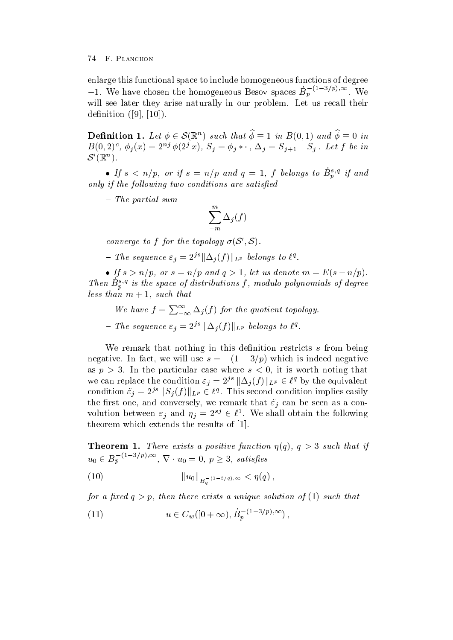enlarge this functional space to include homogeneous functions of degree  $-1$ . We have chosen the homogeneous Besov spaces  $B_p$   $\longrightarrow$   $\longrightarrow$   $\longrightarrow$   $\longrightarrow$   $\longrightarrow$ will see later they arise naturally in our problem. Let us recall their denote the contract of the contract of  $\mathcal{A}$  and  $\mathcal{A}$  are contract of the contract of the contract of the contract of the contract of the contract of the contract of the contract of the contract of the contract of

**Definition 1.** Let  $\phi \in \mathcal{S}(\mathbb{R}^n)$  such that  $\phi \equiv 1$  in  $B(0,1)$  and  $\phi \equiv 0$  in  $B(0, 2)^{c}$ ,  $\varphi_{i}(x) = 2^{c_{i,j}} \varphi(2^{j} x)$ ,  $S_{j} = \varphi_{j} * \cdot$ ,  $\Delta_{j} = S_{j+1} - S_{j}$ . Let f be in  $\mathcal{S}'(\mathbb{R}^n)$ .

• If  $s < n/p$ , or if  $s = n/p$  and  $q = 1$ ,  $f$  belongs to  $B_p^{\gamma q}$  if and only if the fol lowing two conditions are satised

 $T = 0.5$  . The partial summary summary summary summary summary summary summary summary summary summary summary summary summary summary summary summary summary summary summary summary summary summary summary summary summar

$$
\sum_{-m}^m \Delta_j(f)
$$

converge to f for the topology  $\sigma(S', S)$ .

- The sequence  $\varepsilon_j = 2^{js} \|\Delta_j(f)\|_{L^p}$  belongs to  $\ell^q$ .

• If  $s > n/p$ , or  $s = n/p$  and  $q > 1$ , let us denote  $m = E(s - n/p)$ . Then  $B_{\eta}^{\gamma_3}$  is the space of aistributions f, modulo polynomials of degree less than m and the such that the such that the such that is not such that is not such as  $\sim$ 

- $-$  We have  $f = \sum_{i=0}^{\infty} \Delta_i(f)$  for t  $-\infty$   $\rightarrow$   $\sqrt{7}$  for the quotient topology.
- The sequence  $\varepsilon_j = 2^{js} \|\Delta_j(f)\|_{L^p}$  belongs to  $\ell^q$ .

We remark that nothing in this definition restricts  $s$  from being  $\max$  in fact, we will use  $s = \pm (1 - \sigma/p)$  which is indeed hegative as p  $\alpha$  , we have possible that cases where  $\alpha$  is worth noting that  $\alpha$ we can replace the condition  $\varepsilon_j = 2^{js} \|\Delta_j(f)\|_{L^p} \in \ell^q$  by the equivalent condition  $\tilde{\varepsilon}_j = 2^{js} ||S_j(f)||_{L^p} \in \ell^q$ . This second condition implies easily the first one, and conversely, we remark that  $\tilde{\varepsilon}_i$  can be seen as a convolution between  $\varepsilon_j$  and  $\eta_j = 2^{sj} \in \ell^{\perp}$ . We shall obtain the following theorem which extends the results of [1].

Theorem - There exists <sup>a</sup> positive function q - <sup>q</sup> such that if  $u_0 \in B_p^{-1.5/(\rho)}, \infty$ ,  $\nabla \cdot u_0 = 0$ ,  $p \geq 3$ , satisfies

(10) 
$$
\|u_0\|_{B_{a}^{-}(1-3/q),\infty} < \eta(q),
$$

for a nice  $q \gt p$ , men mere exists a unique solution of  $\mathbf{r}$  is such mat

(11) 
$$
u \in C_w([0+\infty), B_p^{-(1-3/p),\infty}),
$$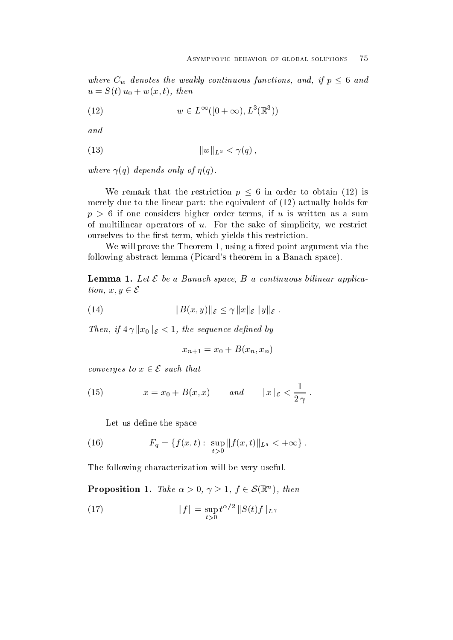where  $C_w$  denotes the weakly continuous functions, and, if  $p \leq 6$  and  $u = \mathcal{O}(v)$   $u_0 + w(x, v)$ , ench

(12) 
$$
w \in L^{\infty}([0+\infty), L^{3}(\mathbb{R}^{3}))
$$

and

(13) 
$$
||w||_{L^3} < \gamma(q),
$$

where  $\alpha$  and  $\alpha$  is the property of the set of the state of the set of the set of the set of the set of the

We remark that the restriction  $p \leq 6$  in order to obtain (12) is mere to a merely due the linear part the equivalent of  $\{m=1\}$  with the equivalent of  $\{m=1\}$ p if one considers higher order terms if <sup>u</sup> is written as a sum of multilinear operators of  $u$ . For the sake of simplicity, we restrict ourselves to the first term, which yields this restriction.

We will prove the Theorem 1, using a fixed point argument via the following abstract lemma Picards theorem in a Banach space

**Lemma 1.** Let  $\mathcal E$  be a Banach space, B a continuous bilinear application,  $x, y \in \mathcal{E}$ 

(14) 
$$
||B(x,y)||_{\mathcal{E}} \leq \gamma ||x||_{\mathcal{E}} ||y||_{\mathcal{E}}.
$$

Then, if  $4\gamma ||x_0||_{\mathcal{E}} < 1$ , the sequence defined by

$$
x_{n+1} = x_0 + B(x_n, x_n)
$$

converges to  $x \in \mathcal{E}$  such that

(15) 
$$
x = x_0 + B(x, x) \quad and \quad ||x||_{\mathcal{E}} < \frac{1}{2\gamma} .
$$

Let us define the space

(16) 
$$
F_q = \{f(x,t): \sup_{t>0} ||f(x,t)||_{L^q} < +\infty\}.
$$

The following characterization will be very useful

**Proposition 1.** Take  $\alpha > 0$ ,  $\gamma \geq 1$ ,  $f \in \mathcal{S}(\mathbb{R}^n)$ , then

(17) 
$$
||f|| = \sup_{t>0} t^{\alpha/2} ||S(t)f||_{L^{\gamma}}
$$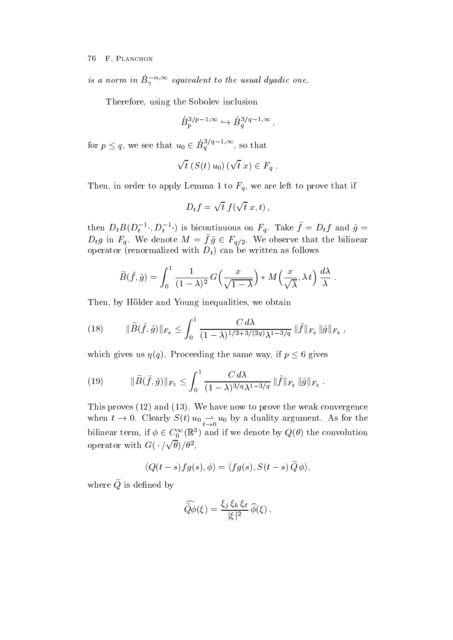is a norm in  $B_{\gamma}$  - equivalent to the usual ayaalc one.

Therefore, using the Sobolev inclusion

$$
\dot{B}_p^{3/p-1,\infty} \hookrightarrow \dot{B}_q^{3/q-1,\infty},
$$

for  $p \leq q$ , we see that  $u_0 \in B_q^{\sigma/q-1,\infty}$ , so that

$$
\sqrt{t}\ (S(t)\,u_0)\ (\sqrt{t}\ x)\in F_q\ .
$$

Then, in order to apply Lemma 1 to  $F_q$ , we are left to prove that if

$$
D_t f = \sqrt{t} f(\sqrt{t} x, t),
$$

then  $D_t B(D_t^{-1}, D_t^{-1})$  is bicontinuous on  $F_q$ . Take  $f = D_t f$  and  $g =$  $D_t g$  in  $F_q$ . We denote  $M = f g \in F_{q/2}$ . We observe that the bilinear operator  $\Gamma$  can be written as written  $\Gamma$   $\mu$  , can be written as follows that we write

$$
\widetilde{B}(\tilde{f},\tilde{g}) = \int_0^1 \frac{1}{(1-\lambda)^2} G\left(\frac{x}{\sqrt{1-\lambda}}\right) * M\left(\frac{x}{\sqrt{\lambda}}, \lambda t\right) \frac{d\lambda}{\lambda}.
$$

Then, by Hölder and Young inequalities, we obtain

(18) 
$$
\|\widetilde{B}(\tilde{f},\tilde{g})\|_{F_q} \leq \int_0^1 \frac{C d\lambda}{(1-\lambda)^{1/2+3/(2q)\lambda^{1-3/q}}} \|\tilde{f}\|_{F_q} \|\tilde{g}\|_{F_q} ,
$$

which gives us  $\eta(q)$ . Proceeding the same way, if  $p \leq 6$  gives

(19) 
$$
\|\widetilde{B}(\tilde{f},\tilde{g})\|_{F_3} \leq \int_0^1 \frac{C d\lambda}{(1-\lambda)^{3/q} \lambda^{1-3/q}} \|\tilde{f}\|_{F_q} \|\tilde{g}\|_{F_q}.
$$

This proves a convergence of the weak convergence that we are now to prove the weak convergence of the weak convergence of the weak convergence of the weak convergence of the weak convergence of the weak convergence of the when  $t \to 0$ . Clearly  $S(t) u_0 \to u_0$  by a duality argument. As for the bilinear term, if  $\phi \in C_0^{\infty}(\mathbb{R}^3)$  and if we denote by  $Q(\theta)$  the convolution operator with  $G(\cdot/\sqrt{\theta})/\theta^2$ ,

$$
\langle Q(t-s)fg(s),\phi\rangle=\langle fg(s),S(t-s)\,\widetilde{Q}\,\phi\rangle,
$$

where  $\widetilde{Q}$  is defined by

$$
\widehat{\widetilde{Q}\phi}(\xi) = \frac{\xi_j \xi_k \xi_\ell}{|\xi|^2} \widehat{\phi}(\xi) ,
$$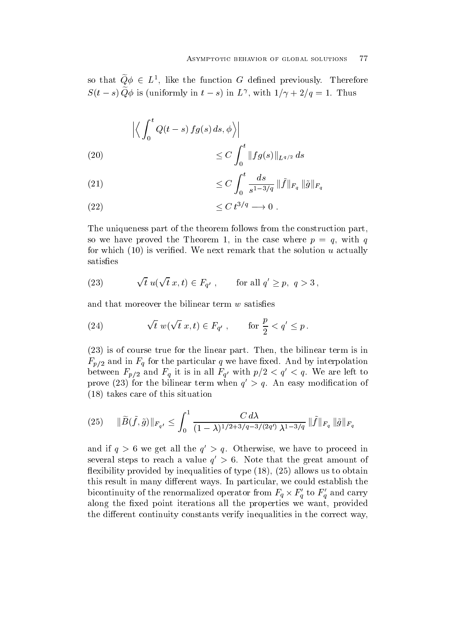so that  $Q\phi \in L^*$ , like the function G defined previously. Therefore  $S(t-s)Q\varphi$  is (uniformly in  $t-s$ ) in  $L'$ , with  $1/\gamma + 2/q = 1$ . Thus

(20)  
\n
$$
\left| \left\langle \int_0^t Q(t-s) \, fg(s) \, ds, \phi \right\rangle \right|
$$
\n
$$
\leq C \int_0^t \|fg(s)\|_{L^{q/2}} \, ds
$$

(21) 
$$
\leq C \int_0^t \frac{ds}{s^{1-3/q}} \|\tilde{f}\|_{F_q} \|\tilde{g}\|_{F_q}
$$

$$
\leq C \, t^{3/q} \longrightarrow 0 \; .
$$

The uniqueness part of the theorem follows from the construction part so we have proved the Theorem 1, in the case where  $p = q$ , with q for which is verified we need that the solution is verified we actually the solution  $\mu$ satisfies

(23) 
$$
\sqrt{t} u(\sqrt{t} x, t) \in F_{q'}, \quad \text{for all } q' \geq p, q > 3,
$$

and that moreover the bilinear term  $w$  satisfies

(24) 
$$
\sqrt{t} w(\sqrt{t} x, t) \in F_{q'}, \quad \text{for } \frac{p}{2} < q' \leq p.
$$

 is of course true for the linear part Then the bilinear term is in  $F_{p/2}$  and in  $F_q$  for the particular q we have fixed. And by interpolation between  $F_{p/2}$  and  $F_q$  it is in all  $F_{q'}$  with  $p/2 \le q \le q$ . We are left to prove (25) for the bilinear term when  $q > q$ . An easy modification of takes care of this situation of the third the situation of the situation of the situation of the situation of the situation of the situation of the situation of the situation of the situation of the situation of the situat

$$
(25) \quad \|\widetilde{B}(\tilde{f},\tilde{g})\|_{F_{q'}} \le \int_0^1 \frac{C d\lambda}{(1-\lambda)^{1/2+3/q-3/(2q')}\lambda^{1-3/q}} \|\tilde{f}\|_{F_q} \|\tilde{g}\|_{F_q}
$$

and if  $q > 0$  we get all the  $q > q$ . Otherwise, we have to proceed in several steps to reach a value  $q \geq 0$ . Tote that the great amount of exibility provided by intervals of type  $\mathcal{A}$  . The contract of type  $\mathcal{A}$  is to obtain the contract of type  $\mathcal{A}$ this result in many different ways. In particular, we could establish the bicontinuity of the renormalized operator from  $F_q \times F'_q$  to  $F'_q$  and carry along the fixed point iterations all the properties we want, provided the different continuity constants verify inequalities in the correct way.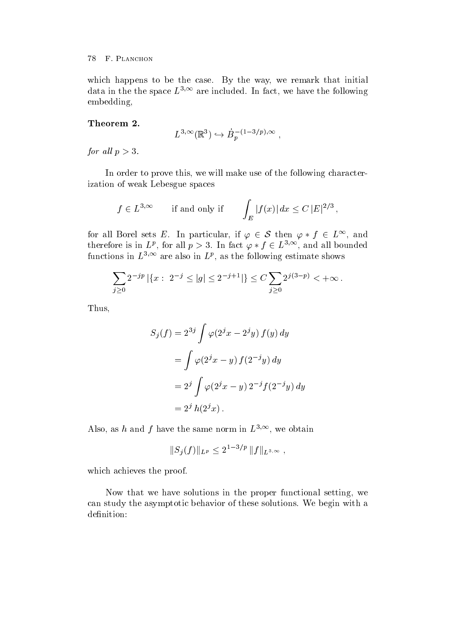which happens to be the case. By the way, we remark that initial data in the the space  $L^{+,-}$  are included. In fact, we have the following embedding

### Theorem 2.

$$
L^{3,\infty}(\mathbb{R}^3) \hookrightarrow \dot{B}_p^{-(1-3/p),\infty} ,
$$

for an  $p > 0$ .

In order to prove this, we will make use of the following characterization of weak Lebesgue spaces

$$
f \in L^{3,\infty}
$$
 if and only if  $\int_E |f(x)| dx \le C |E|^{2/3}$ ,

for all Borel sets E. In particular, if  $\varphi \in \mathcal{S}$  then  $\varphi * f \in L^{\infty}$ , and therefore is in  $L^p$ , for all  $p > 3$ . In fact  $\varphi * f \in L^{3,\infty}$ , and all bounded functions in  $L^{\gamma+\gamma}$  are also in  $L^{\rho}$ , as the following estimate shows

$$
\sum_{j\geq 0} 2^{-jp} | \{x: 2^{-j} \leq |g| \leq 2^{-j+1} | \} \leq C \sum_{j\geq 0} 2^{j(3-p)} < +\infty.
$$

Thus

$$
S_j(f) = 2^{3j} \int \varphi(2^j x - 2^j y) f(y) dy
$$
  
= 
$$
\int \varphi(2^j x - y) f(2^{-j} y) dy
$$
  
= 
$$
2^j \int \varphi(2^j x - y) 2^{-j} f(2^{-j} y) dy
$$
  
= 
$$
2^j h(2^j x).
$$

Also, as *n* and *f* have the same norm in  $L^{\gamma,\gamma}$ , we obtain

$$
||S_j(f)||_{L^p} \le 2^{1-3/p} ||f||_{L^{3,\infty}},
$$

which achieves the proof.

Now that we have solutions in the proper functional setting, we can study the asymptotic behavior of these solutions We begin with a definition: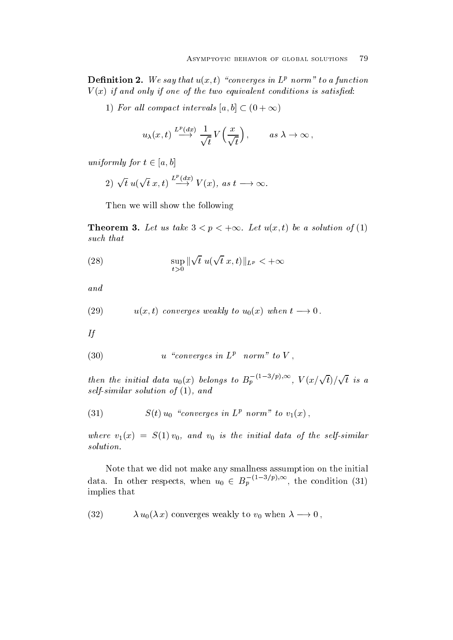**Demintion 2.** We say that  $u(x, t)$  converges in Let norm to a function V x if and only if one ofthe two equivalent conditions is satised

1) For all compact intervals  $|a, b| \subset (0 + \infty)$ 

$$
u_{\lambda}(x,t) \xrightarrow{L^p(dx)} \frac{1}{\sqrt{t}} V\left(\frac{x}{\sqrt{t}}\right), \quad \text{as } \lambda \to \infty,
$$

uniformly for  $t \in [a, b]$ 

2)  $\sqrt{t} u(\sqrt{t} x,t) \stackrel{L^r(ax)}{\longrightarrow} V(x)$ , as  $t \longrightarrow \infty$ .

Then we will show the following

**Theorem 3.** Let us take  $3 \le p \le +\infty$ . Let  $u(x, t)$  be a solution of (1) such that the such that the such a set of the such a set of the such a set of the such a set of the such a set

(28) 
$$
\sup_{t>0} \|\sqrt{t} u(\sqrt{t} x,t)\|_{L^p} < +\infty
$$

and

(29) 
$$
u(x,t)
$$
 converges weakly to  $u_0(x)$  when  $t \to 0$ .

If

$$
(30) \t u "converges in Lp norm" to V,
$$

then the initial data  $u_0(x)$  belongs to  $B_p^{-(1-3/p),\infty}$ ,  $V(x/\sqrt{t})/\sqrt{t}$  is a solving the solution of  $\mathbf{r}$  and  $\mathbf{r}$ 

 $(31)$  $S(t)u_0$  converges in  $L^p$  norm to  $v_1(x)$ ,

where  $\mathbf{y} = \mathbf{y}$  is the initial data of the selfs in the initial data of the selfs in the selfsimilar of the selfs in the selfs in the selfs in the selfs in the selfs in the selfs in the selfs in the selfs in the sel solution

Note that we did not make any smallness assumption on the initial data. In other respects, when  $u_0 \in B_p$   $\longrightarrow$   $\rightarrow$   $\rightarrow$  the condition (31) implies that

 $(32)$  $\lambda u_0(\lambda x)$  converges weakly to  $v_0$  when  $\lambda \longrightarrow 0$ ,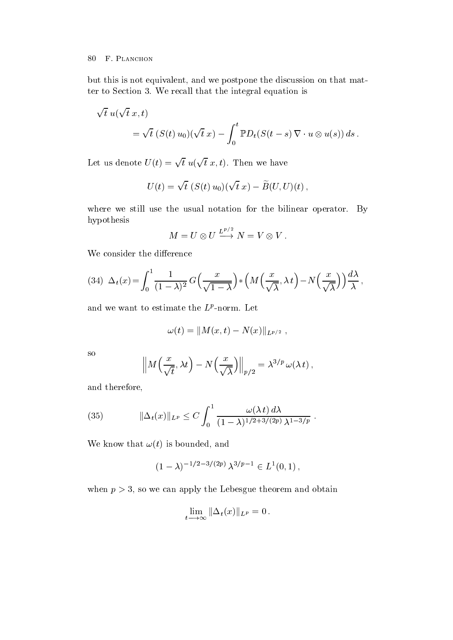but this is not equivalent, and we postpone the discussion on that matter to Section 3. We recall that the integral equation is

$$
\sqrt{t} u(\sqrt{t} x, t)
$$
  
=  $\sqrt{t} (S(t) u_0)(\sqrt{t} x) - \int_0^t \mathbb{P}D_t(S(t-s) \nabla \cdot u \otimes u(s)) ds.$ 

Let us denote  $U(t) = \sqrt{t} u(\sqrt{t} x, t)$ . Then we have

$$
U(t) = \sqrt{t} \ (S(t) u_0)(\sqrt{t} x) - \widetilde{B}(U, U)(t) \,,
$$

where we still use the usual notation for the bilinear operator. By hypothesis

$$
M = U \otimes U \xrightarrow{L^{p/2}} N = V \otimes V.
$$

We consider the difference

(34) 
$$
\Delta_t(x) = \int_0^1 \frac{1}{(1-\lambda)^2} G\left(\frac{x}{\sqrt{1-\lambda}}\right) * \left(M\left(\frac{x}{\sqrt{\lambda}}, \lambda t\right) - N\left(\frac{x}{\sqrt{\lambda}}\right)\right) \frac{d\lambda}{\lambda},
$$

and we want to estimate the  $L^r$ -norm. Let

$$
\omega(t) = ||M(x,t) - N(x)||_{L^{p/2}} ,
$$

so

$$
\left\|M\Big(\frac{x}{\sqrt{t}}, \lambda t\Big) - N\Big(\frac{x}{\sqrt{\lambda}}\Big)\right\|_{p/2} = \lambda^{3/p} \,\omega(\lambda \, t) \,,
$$

and therefore

(35) 
$$
\|\Delta_t(x)\|_{L^p} \le C \int_0^1 \frac{\omega(\lambda t) d\lambda}{(1-\lambda)^{1/2+3/(2p)} \lambda^{1-3/p}}.
$$

where the contract of the theoretical contracts of the contracts of the contracts of the contracts of the contracts of the contracts of the contracts of the contracts of the contracts of the contracts of the contracts of t

$$
(1 - \lambda)^{-1/2 - 3/(2p)} \lambda^{3/p - 1} \in L^1(0, 1),
$$

when  $p > 3$ , so we can apply the Lebesgue theorem and obtain

$$
\lim_{t\longrightarrow\infty}\|\Delta_t(x)\|_{L^p}=0.
$$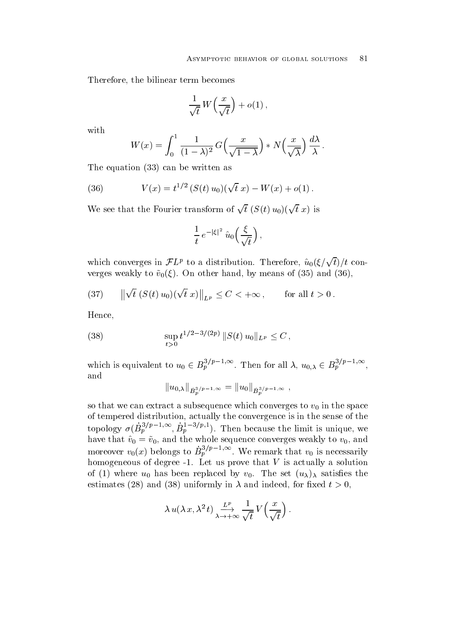Therefore, the bilinear term becomes

$$
\frac{1}{\sqrt{t}} W\left(\frac{x}{\sqrt{t}}\right) + o(1) ,
$$

with

$$
W(x) = \int_0^1 \frac{1}{(1-\lambda)^2} G\left(\frac{x}{\sqrt{1-\lambda}}\right) * N\left(\frac{x}{\sqrt{\lambda}}\right) \frac{d\lambda}{\lambda}.
$$

<u>external from the candal contract and</u>

(36) 
$$
V(x) = t^{1/2} (S(t) u_0)(\sqrt{t} x) - W(x) + o(1).
$$

We see that the Fourier transform of  $\sqrt{t}$   $(S(t) u_0)(\sqrt{t} x)$  is

$$
\frac{1}{t} e^{-|\xi|^2} \hat{u}_0\left(\frac{\xi}{\sqrt{t}}\right),
$$

which converges in  $\mathcal{F}L^p$  to a distribution. Therefore,  $\hat{u}_0(\xi/\sqrt{t})/t$  converges weakly to v $0\leq\ell$  , one channel means of  $\ell$  and  $\ell$  and  $\ell$  and  $\ell$ 

(37) 
$$
\left\|\sqrt{t}\left(S(t) u_0\right)(\sqrt{t} x)\right\|_{L^p} \leq C < +\infty, \quad \text{for all } t > 0.
$$

Hence

(38) 
$$
\sup_{t>0} t^{1/2-3/(2p)} ||S(t) u_0||_{L^p} \leq C,
$$

which is equivalent to  $u_0 \in B_p^{\gamma(F-1)\gamma}$ . Then for all  $\lambda, u_{0,\lambda} \in B_p^{\gamma(F-1)\gamma}$ , and

$$
||u_{0,\lambda}||_{\dot{B}_p^{3/p-1,\infty}} = ||u_0||_{\dot{B}_p^{3/p-1,\infty}},
$$

so that we can extract a subsequence which converges to  $v_0$  in the space of tempered distribution, actually the convergence is in the sense of the topology  $\sigma(B_n^{\gamma(F_1)})^{\gamma(F_1)}$ ,  $B_n^{\gamma(F_1)}$ ). The Then because the limit is unique weakened by the limit is unique weakened by the limit is unique weakened by the  $\mathbf{h}$  and v  $\mathbf{v}$  v  $\mathbf{v}$  , which are written sequence converges weaking to v  $\mathbf{v}$ , which moreover  $v_0(x)$  belongs to  $B_p^{\gamma(F_1, \gamma(F_2, \gamma(F_1))}$ . We remark that  $v_0$  is necessarily homogeneous of degree - Is actually is actually a solution of the V is actually and the solution of the V is a  $\alpha$  , where  $\alpha$  is the set up to the set up the set up the set up the set up the set up the set up the set up to the set up to the set up to the set up to the set up to the set up to the set up to the set up to the set  $\alpha$  and  $\alpha$  and  $\alpha$  and  $\alpha$  and  $\alpha$  and indeed, for inequality  $\alpha$ ,

$$
\lambda u(\lambda x, \lambda^2 t) \xrightarrow[\lambda \to +\infty]{L^p} \frac{1}{\sqrt{t}} V\left(\frac{x}{\sqrt{t}}\right).
$$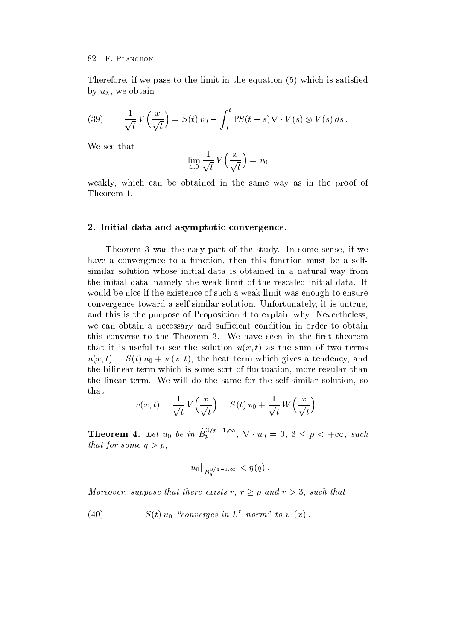Therefore if we pass to the limit in the equation in the equation  $\mathcal{N} = \mathcal{N}$ by  $u_{\lambda}$ , we obtain

(39) 
$$
\frac{1}{\sqrt{t}}V\left(\frac{x}{\sqrt{t}}\right) = S(t) v_0 - \int_0^t \mathbb{P}S(t-s)\nabla \cdot V(s) \otimes V(s) ds.
$$

We see that

$$
\lim_{t \downarrow 0} \frac{1}{\sqrt{t}} V\left(\frac{x}{\sqrt{t}}\right) = v_0
$$

weakly, which can be obtained in the same way as in the proof of Theorem 

### - Initial data and asymptotic convergence-

Theorem 3 was the easy part of the study. In some sense, if we have a convergence to a function, then this function must be a selfsimilar solution whose initial data is obtained in a natural way from the initial data namely the weak limit of the rescaled initial data It would be nice if the existence of such a weak limit was enough to ensure convergence toward a self-similar solution United States in the self-solution United States in the self-self-s and this is the purpose of Proposition 4 to explain why. Nevertheless, we can obtain a necessary and sufficient condition in order to obtain this converse to the Theorem 3. We have seen in the first theorem  $\alpha$  is useful to see the solution  $\alpha(x, t)$  as the sum of two terms  $u(x, v) = D(v) u_0 + w(x, v)$ , the heat term which gives a tendency, and the bilinear term which is some sort of fluctuation, more regular than the linear term We will do the same for the self-similar solution so that

$$
v(x,t) = \frac{1}{\sqrt{t}} V\left(\frac{x}{\sqrt{t}}\right) = S(t) v_0 + \frac{1}{\sqrt{t}} W\left(\frac{x}{\sqrt{t}}\right).
$$

**Theorem 4.** Let  $u_0$  be in  $B_p^{\nu_1 p_1} \xrightarrow{\infty} \nabla \cdot u_0 = 0, 3 \leq p \leq +\infty$ , such  $t$  *that* for some  $q > p$ .

$$
\|u_0\|_{\dot{B}^{3/q-1,\infty}_q}<\eta(q)\,.
$$

Moreover, suppose that there exists  $r, r \geq p$  and  $r > 3$ , such that

(40) 
$$
S(t) u_0 \text{ "converges in } L^r \text{ norm" to } v_1(x).
$$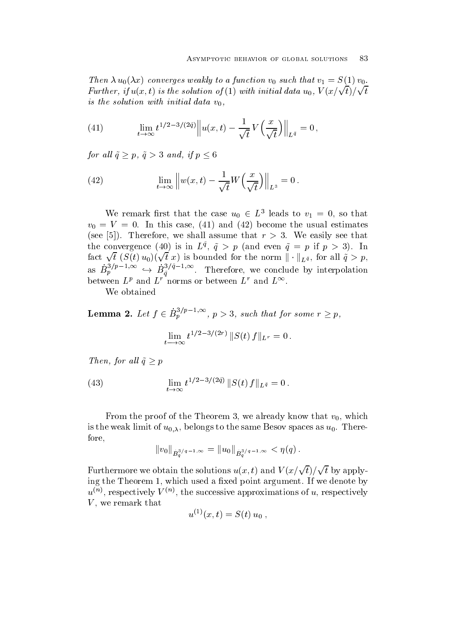Then  $\alpha$   $u_0(\alpha x)$  converges weakly to a function valuation that  $v_1 = \beta(1/v_0)$ . Further, if  $u(x,t)$  is the solution of (1) with initial data  $u_0$ ,  $V(x/\sqrt{t})/\sqrt{t}$ is the solution with initial data v-

(41) 
$$
\lim_{t \to \infty} t^{1/2 - 3/(2\tilde{q})} \| u(x, t) - \frac{1}{\sqrt{t}} V\left(\frac{x}{\sqrt{t}}\right) \|_{L^{\tilde{q}}} = 0,
$$

for all  $\tilde{q} \geq p$ ,  $\tilde{q} > 3$  and, if  $p \leq 6$ 

(42) 
$$
\lim_{t \to \infty} \left\| w(x, t) - \frac{1}{\sqrt{t}} W\left(\frac{x}{\sqrt{t}}\right) \right\|_{L^3} = 0.
$$

We remark first that the case  $u_0 \in L^{\circ}$  leads to  $v_1 = 0$ , so that v <sup>V</sup> In this case and become the usual estimates see , we shall assume that reference that refers the second second second second second second second second s the convergence (40) is in  $L^4$ ,  $q > p$  (and even  $q = p$  if  $p > 3$ ). In fact  $\sqrt{t}$   $(S(t) u_0)(\sqrt{t} x)$  is bounded for the norm  $\|\cdot\|_{L^{\tilde{q}}}$ , for all  $\tilde{q} > p$ , as  $B_p^{\gamma}$   $\rightarrow$   $B_{\tilde{g}}^{\gamma}$  . Therefore, we conclude by interpolation between  $L^r$  and  $L^r$  norms or between  $L^r$  and  $L^{r^r}$ .

We obtained

**Lemma 2.** Let  $f \in B_p^{\omega_p} \longrightarrow \infty$ ,  $p > 3$ , such that for some  $r \geq p$ ,

$$
\lim_{t \to \infty} t^{1/2 - 3/(2r)} ||S(t) f||_{L^r} = 0.
$$

Then, for all  $\tilde{q} \geq p$ 

(43) 
$$
\lim_{t \to \infty} t^{1/2 - 3/(2\tilde{q})} ||S(t) f||_{L^{\tilde{q}}} = 0.
$$

From the proof of the Theorem 3, we already know that  $v_0$ , which is the weak limit of  $u_{0,\lambda}$ , belongs to the same Besov spaces as  $u_0$ . Therefore

$$
\|v_0\|_{\dot{B}^{3/q-1,\infty}_q}=\|u_0\|_{\dot{B}^{3/q-1,\infty}_q}<\eta(q)\,.
$$

Furthermore we obtain the solutions  $u(x,t)$  and  $V(x/\sqrt{t})/\sqrt{t}$  by applying the Theorem 1, which used a fixed point argument. If we denote by  $u^{\ldots}$ , respectively  $V^{\ldots}$ , the successive approximations of  $u$ , respectively V we remark that

$$
u^{(1)}(x,t) = S(t) u_0 ,
$$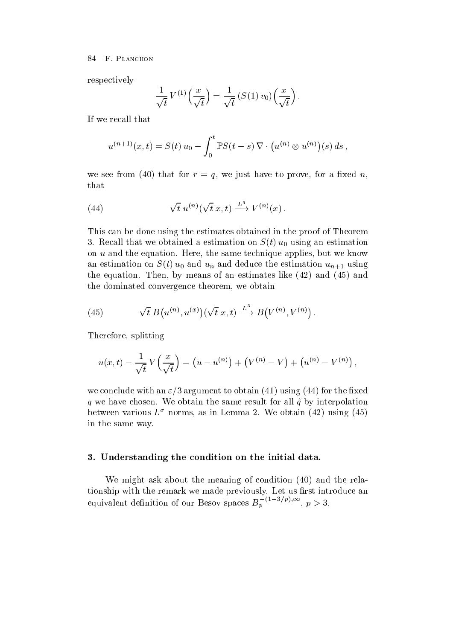respectively

$$
\frac{1}{\sqrt{t}} V^{(1)}\left(\frac{x}{\sqrt{t}}\right) = \frac{1}{\sqrt{t}} \left(S(1) v_0\right)\left(\frac{x}{\sqrt{t}}\right).
$$

If we recall that

$$
u^{(n+1)}(x,t) = S(t) u_0 - \int_0^t \mathbb{P}S(t-s) \nabla \cdot (u^{(n)} \otimes u^{(n)})(s) ds,
$$

we see from the form the see from the game for a set of the see for the seed in that

(44) 
$$
\sqrt{t} u^{(n)}(\sqrt{t} x, t) \xrightarrow{L^q} V^{(n)}(x)
$$
.

This can be done using the estimates obtained in the proof of Theorem Recall that we obtained a estimation on St u using an estimation on  $u$  and the equation. Here, the same technique applies, but we know and is defined on St  $\sim$  (  $\cdot$  ) and define the estimation under the estimation unit  $\sim$   $\mu$   $\pm$  1 and  $\sim$  0 the equation Then by means of an estimates like  $\mathcal{A}$  and  $\mathcal{A}$  and  $\mathcal{A}$  and  $\mathcal{A}$ the dominated convergence theorem, we obtain

(45) 
$$
\sqrt{t} B(u^{(n)}, u^{(x)})(\sqrt{t} x, t) \xrightarrow{L^3} B(V^{(n)}, V^{(n)}) .
$$

Therefore, splitting

$$
u(x,t) - \frac{1}{\sqrt{t}} V\left(\frac{x}{\sqrt{t}}\right) = (u - u^{(n)}) + (V^{(n)} - V) + (u^{(n)} - V^{(n)}),
$$

we conclude with an  $\mathbf{v}_i$  of  $\mathbf{w}_i$  and the conclusion  $\mathbf{v}_i$  are  $\mathbf{v}_i$  and  $\mathbf{v}_i$  and  $\mathbf{v}_i$  are  $\mathbf{v}_i$  and  $\mathbf{v}_i$  and  $\mathbf{v}_i$  are  $\mathbf{v}_i$  and  $\mathbf{v}_i$  and  $\mathbf{v}_i$  and  $\mathbf{v}_i$  and  $\mathbf{$  $\gamma$  we have chosen we have chosen the same result for all  $\alpha$  by interpretations of all  $\alpha$ between various  $L^+$  norms, as in Lemma 2. We obtain (42) using (45) in the same way

### - Understanding the condition on the initial data-

we might ask about the meaning of condition  $\mathcal{C}$ tionship with the remark we made previously. Let us first introduce an equivalent definition of our Besov spaces  $B_n \stackrel{\cdot}{\cdot} \stackrel{\cdot}{\cdot} \stackrel{\cdot}{\cdot} \stackrel{\cdot}{\cdot} \stackrel{\cdot}{\cdot} \cdots$ ,  $p > 3$ .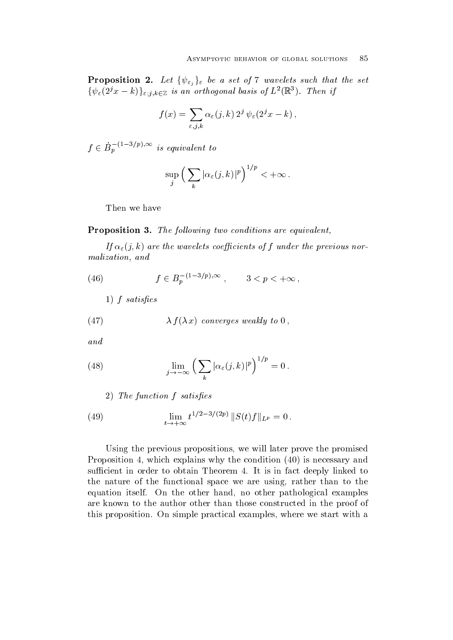**Proposition 2.** Let  $\{\psi_{\varepsilon_i}\}_\varepsilon$  be a set of 7 wavelets such that the set  $\{\psi_{\varepsilon}(2^jx-k)\}_{\varepsilon,j,k\in\mathbb{Z}}$  is an orthogonal basis of  $L^2(\mathbb{R}^3)$ . Then if

$$
f(x) = \sum_{\varepsilon,j,k} \alpha_{\varepsilon}(j,k) 2^{j} \psi_{\varepsilon}(2^{j}x - k),
$$

 $f \in B_n$  is equivalent to

$$
\sup_j \left( \sum_k |\alpha_\varepsilon(j,k)|^p \right)^{1/p} < +\infty \, .
$$

Then we have

**I TOPOSITION 0.** The following two conditions are equivalent,

 $\mu$   $\alpha_{\varepsilon}(f, \nu)$  are the wavelets coefficients of f under the previous normalization and the state of the state of the state of the state of the state of the state of the state of the s

(46) 
$$
f \in B_p^{-(1-3/p),\infty}
$$
,  $3 < p < +\infty$ ,

 $\blacksquare$  satisfying the same satisfying the same satisfying the same satisfying the same satisfying the same satisfying the same satisfying the same satisfying the same satisfying the same satisfying the same satisfying the

(47) 
$$
\lambda f(\lambda x)
$$
 converges weakly to 0,

and

(48) 
$$
\lim_{j \to -\infty} \left( \sum_{k} |\alpha_{\varepsilon}(j,k)|^{p} \right)^{1/p} = 0.
$$

The function fraction for the function of the function of  $\mathcal{F}_1$ 

(49) 
$$
\lim_{t \to +\infty} t^{1/2 - 3/(2p)} \|S(t)f\|_{L^p} = 0.
$$

Using the previous propositions, we will later prove the promised Proposition which explains why the condition is necessary and sufficient in order to obtain Theorem 4. It is in fact deeply linked to the nature of the functional space we are using, rather than to the equation itself. On the other hand, no other pathological examples are known to the author other than those constructed in the proof of this proposition. On simple practical examples, where we start with a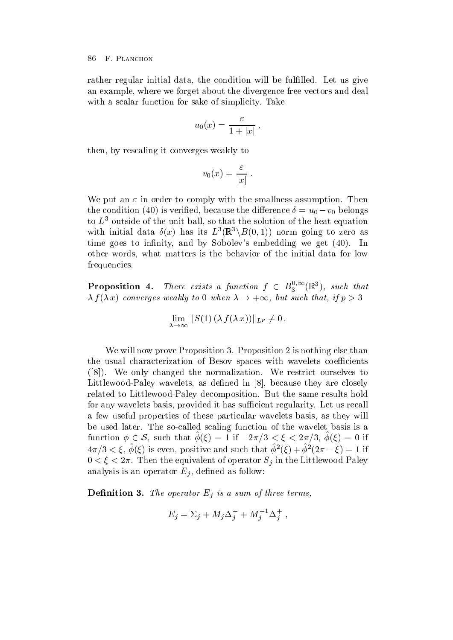rather regular initial data, the condition will be fulfilled. Let us give an example, where we forget about the divergence free vectors and deal with a scalar function for sake of simplicity. Take

$$
u_0(x) = \frac{\varepsilon}{1+|x|} \; ,
$$

then, by rescaling it converges weakly to

$$
v_0(x) = \frac{\varepsilon}{|x|} \; .
$$

We put an  $\varepsilon$  in order to comply with the smallness assumption. Then the condition (40) is verified, because the difference  $v = u_0 - v_0$  belongs to  $L^2$  outside of the unit ball, so that the solution of the heat equation with initial data  $\delta(x)$  has its  $L^3(\mathbb{R}^3 \setminus B(0,1))$  norm going to zero as time goes to innity and by Sobolevs embedding we get In other words, what matters is the behavior of the initial data for low frequencies

**Proposition 4.** There exists a function  $f \in B_3^{\gamma,\infty}(\mathbb{R}^n)$ , such the  $3 \quad (\mathbb{R})$ , such that  $\lambda$  f( $\lambda$  x) converges weakly to U when  $\lambda \to +\infty$ , but such that, if  $p > 3$ 

$$
\lim_{\lambda \to \infty} ||S(1) (\lambda f(\lambda x))||_{L^p} \neq 0.
$$

We will now prove Proposition 3. Proposition 2 is nothing else than the usual characterization of Besov spaces with wavelets coefficients  $N$  only changed the normalization  $\mathcal{M}$ Littlewood-Paley wavelets as dened in because they are closely related to Littlewood-Paley decomposition But the same results hold for any wavelets basis, provided it has sufficient regularity. Let us recall a few useful properties of these particular wavelets basis, as they will be used to the so-called scaling function of the so-called scaling function of the wavelet basis is an interest function  $\phi \in \mathcal{S}$ , such that  $\phi(\xi) = 1$  if  $-2\pi/3 < \xi < 2\pi/3$ ,  $\phi(\xi) = 0$  if  $4\pi/5 < \zeta, \varphi(\zeta)$  is even, positive and such that  $\varphi(\zeta) + \varphi(\zeta) - \zeta() = 1$  if The extension of operator Signal contracts of operators will be constructed to the Littlewood-City of the Littlewood analysis is an operator  $E_i$ , defined as follow:

Denition - The operator Ej is <sup>a</sup> sum of three terms-

$$
E_j = \Sigma_j + M_j \Delta_j^- + M_j^{-1} \Delta_j^+,
$$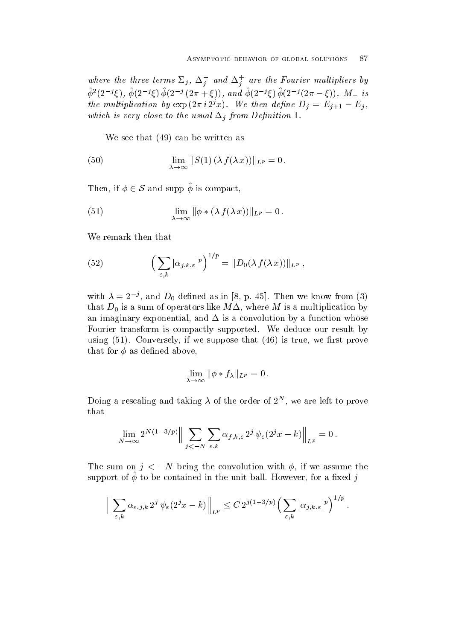where the three terms  $\varDelta_j$ ,  $\varDelta_j$  and  $\varDelta_j$  are the Fourier multipliers by  $\varphi$ <sup>-</sup>(2  $\Im$  5),  $\varphi$ (2  $\Im$  5)  $\varphi$ (2  $\Im$  (2  $\Im$  4), and  $\varphi$ (2  $\Im$  5)  $\varphi$ (2  $\Im$  5) (2n  $-\xi$ )). M\_ 18 the multiplication by  $\exp\left(2\pi i 2^x x\right)$ . We then define  $D_j = E_{j+1} - E_j$ , which is very close to the usual  $\equiv$  j from  $\equiv$   $j$  . The usual  $\equiv$ 

where the sees that the sees that the sees that the sees that the sees that the sees that the sees that the sees that the sees that the sees that the sees that the sees that the sees that the sees that the sees that the s

(50) 
$$
\lim_{\lambda \to \infty} ||S(1) (\lambda f(\lambda x))||_{L^p} = 0.
$$

Then, if  $\phi \in \mathcal{S}$  and supp  $\phi$  is compact,

(51) 
$$
\lim_{\lambda \to \infty} \|\phi * (\lambda f(\lambda x))\|_{L^p} = 0.
$$

We remark then that

(52) 
$$
\left(\sum_{\varepsilon,k} |\alpha_{j,k,\varepsilon}|^p\right)^{1/p} = ||D_0(\lambda f(\lambda x))||_{L^p},
$$

with  $\lambda = 2$ , and  $D_0$  defined as in  $\delta$ , p. 45. Then we know from (5) that  $D_0$  is a sum of operators like  $M\Delta$ , where M is a multiplication by an imaginary exponential, and  $\Delta$  is a convolution by a function whose Fourier transform is compactly supported. We deduce our result by using a converse that is true we recognize the support of the support of the support of the support of the support of the support of the support of the support of the support of the support of the support of the support of that for  $\phi$  as defined above,

$$
\lim_{\lambda \to \infty} \|\phi * f_\lambda\|_{L^p} = 0.
$$

Doing a rescaling and taking  $\lambda$  of the order of  $\lambda^-$  , we are left to prove that

$$
\lim_{N\to\infty}2^{N(1-3/p)}\Big\|\sum_{j<-N}\sum_{\varepsilon,k}\alpha_{f,k,\varepsilon}\,2^j\,\psi_\varepsilon(2^jx-k)\Big\|_{L^p}=0\,.
$$

The sum on  $\eta \leq -N$  being the convolution with  $\psi$ , if we assume the support or  $\varphi$  to be contained in the unit ball. However, for a fixed  $j$ 

$$
\Big\|\sum_{\varepsilon,k}\alpha_{\varepsilon,j,k} 2^j\,\psi_{\varepsilon}(2^jx-k)\Big\|_{L^p}\leq C\,2^{j(1-3/p)}\Big(\sum_{\varepsilon,k}|\alpha_{j,k,\varepsilon}|^p\Big)^{1/p}\,.
$$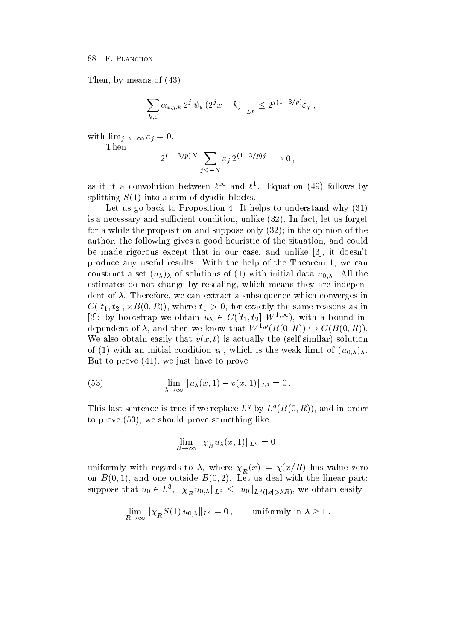Then, by means of  $(43)$ 

$$
\Big\|\sum_{k,\varepsilon}\alpha_{\varepsilon,j,k}\,2^j\,\psi_{\varepsilon}\,(2^jx-k)\Big\|_{L^p}\leq 2^{j(1-3/p)}\varepsilon_j\;,
$$

 $\cdots$  is a interestigate that  $\cdots$ Then

$$
2^{(1-3/p)N} \sum_{j \leq -N} \varepsilon_j 2^{(1-3/p)j} \longrightarrow 0,
$$

as it it a convolution between  $t^{++}$  and  $t^{+}$ . Equation (49) follows by splitting S ( = ) and a sum of dyadic blocks and a sum of dyadic blocks and a sum of dyadic blocks and a sum of

Let us go back to Proposition 4. It helps to understand why  $(31)$ is a necessary and such and such and such and such and such and such and such and such and such an interval  $\alpha$ for a while the proposition and suppose only ! in the opinion of the author, the following gives a good heuristic of the situation, and could be made rigorous except that in our case, and unlike  $[3]$ , it doesn't produce any useful results. With the help of the Theorem 1, we can constructions of the constructions of  $\left( \begin{array}{c} -1 \end{array} \right)$  , where the solutions of  $\left( \begin{array}{c} 0 \end{array} \right)$  , the solution estimates do not change by rescaling, which means they are independent of  $\lambda$ . Therefore, we can extract a subsequence which converges in  $C([t_1,t_2],\times B(0,K)),$  where  $t_1>0$ , for exactly the same reasons as in 3: by bootstrap we obtain  $u_{\lambda} \in C([t_1, t_2], W^{1,\infty})$ , with a bound independent of  $\lambda$ , and then we know that  $W^{1,p}(B(0,R)) \hookrightarrow C(B(0,R)).$ We also obtain casily that  $v(x, v)$  is actually the self-similar polution  $\mathcal{L}$  , which can initial condition values is the weak limit of  $\mathcal{L}(\mathcal{N}/\mathcal{N})$ But to prove a state of the prove of the proven and the proven and the proven and the proven and the proven and

(53) 
$$
\lim_{\lambda \to \infty} ||u_{\lambda}(x,1) - v(x,1)||_{L^q} = 0.
$$

I mis last semence is true if we replace  $L^4$  by  $L^4(D(0,R))$ , and in order to prove you yet in the something prove sometime and compared the sometime of the sound of the sound of the something of the sound of the sound of the sound of the sound of the sound of the sound of the sound of the sound

$$
\lim_{R\to\infty} \|\chi_R u_\lambda(x,1)\|_{L^q} = 0,
$$

uniformly with regards to  $w$ , where  $\lambda_R$   $\langle x \rangle$  ,  $\lambda(\tau/\tau)$  and there are  $\tau$  $\alpha$  -  $\alpha$  ,  $\alpha$  and  $\alpha$  and  $\alpha$  are outside B  $\alpha$  ,  $\alpha$  and  $\alpha$  and  $\alpha$  are  $\alpha$  . In the linear part of  $\alpha$ suppose that  $u_0 \in L^3$ ,  $\|\chi_R^{-}u_{0,\lambda}\|_{L^3} \leq \|u_0\|_{L^3(|x|>\lambda R)}$ , we obtain easily

$$
\lim_{R \to \infty} ||\chi_R S(1) u_{0,\lambda}||_{L^q} = 0, \quad \text{uniformly in } \lambda \ge 1.
$$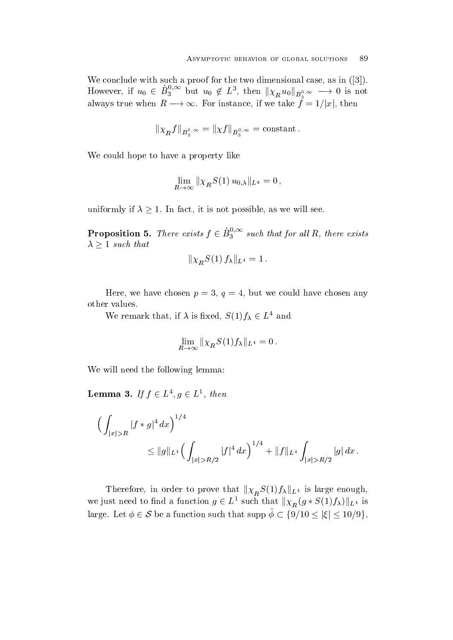We conclude with such a proof for the two dimensional case as in the two dimensional case as in the two dimensional case as in the two dimensional case as in the two dimensional case as in the two dimensional case as in t However, if  $u_0 \in B_3^{\circ, \circ}$  but  $u_0 \notin L^{\circ}$  $\frac{1}{3}$  but  $u_0 \notin L^3$ , then  $\|\chi_R u_0\|_{\dot{B}^{0,\infty}} \longrightarrow 0$  is not always true when  $R \longrightarrow \infty$ . For instance, if we take  $f = 1/|x|$ , then

$$
\|\chi_R f\|_{\dot{B}_3^{0,\infty}} = \|\chi f\|_{\dot{B}_3^{0,\infty}} = \text{constant} \,.
$$

We could hope to have a property like

$$
\lim_{R\to\infty}||\chi_R S(1) u_{0,\lambda}||_{L^q} = 0,
$$

uniformly if  $\lambda \geq 1$ . In fact, it is not possible, as we will see.

**Proposition 5.** There exists  $f \in B_3^{\gamma, \infty}$  such that for  $3$  such that for all  $I$ , there exists  $\lambda \geq 1$  such that

$$
\|\chi_R^S(1) f_\lambda\|_{L^4} = 1 \,.
$$

Here, we have chosen  $p = 3, q = 4$ , but we could have chosen any other values

We remark that, if  $\lambda$  is fixed,  $S(1) f_{\lambda} \in L^*$  and

$$
\lim_{R\to\infty} \|\chi_R S(1) f_\lambda\|_{L^4} = 0.
$$

We will need the following lemma

**Lemma 3.** If  $f \in L^{\ast}, g \in L^{\ast}$ , then

$$
\left(\int_{|x|>R} |f*g|^4 dx\right)^{1/4} \leq \|g\|_{L^1} \left(\int_{|x|>R/2} |f|^4 dx\right)^{1/4} + \|f\|_{L^4} \int_{|x|>R/2} |g| dx.
$$

Therefore, in order to prove that  $\|\chi_{R}S(1)f_{\lambda}\|_{L^{4}}$  is large enough, we just need to find a function  $g \in L^1$  such that  $\|\chi_R^-(g * S(1) f_\lambda)\|_{L^4}$  is large. Let  $\phi \in \mathcal{S}$  be a function such that supp  $\hat{\phi} \subset \{9/10 \leq |\xi| \leq 10/9\},\$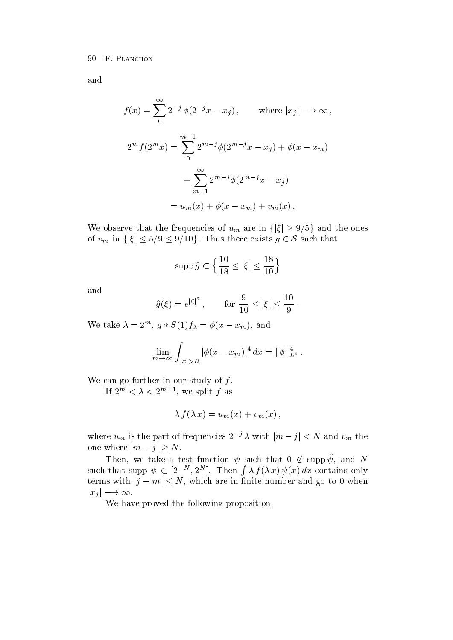and

$$
f(x) = \sum_{0}^{\infty} 2^{-j} \phi(2^{-j}x - x_j), \quad \text{where } |x_j| \to \infty,
$$
  

$$
2^{m} f(2^{m}x) = \sum_{0}^{m-1} 2^{m-j} \phi(2^{m-j}x - x_j) + \phi(x - x_m)
$$
  

$$
+ \sum_{m+1}^{\infty} 2^{m-j} \phi(2^{m-j}x - x_j)
$$
  

$$
= u_m(x) + \phi(x - x_m) + v_m(x).
$$

We observe that the frequencies of  $u_m$  are in  $\{|\xi| \geq 9/5\}$  and the ones of  $v_m$  in  $\{|\xi| \le 5/9 \le 9/10\}$ . Thus there exists  $g \in \mathcal{S}$  such that

$$
\operatorname{supp} \hat{g} \subset \Big\{ \frac{10}{18} \leq |\xi| \leq \frac{18}{10} \Big\}
$$

and

$$
\hat{g}(\xi) = e^{|\xi|^2}
$$
, for  $\frac{9}{10} \le |\xi| \le \frac{10}{9}$ .

We take  $\lambda = 2^m$ ,  $g * S(1) f_{\lambda} = \varphi(x - x_m)$ , and

$$
\lim_{m \to \infty} \int_{|x|>R} |\phi(x - x_m)|^4 dx = ||\phi||_{L^4}^4.
$$

We can go further in our study of  $f$ .

If  $\Delta^{\cdots} \leq \lambda \leq \Delta^{\cdots}$  , we split f as

$$
\lambda f(\lambda x) = u_m(x) + v_m(x) ,
$$

where  $u_m$  is the part of frequencies  $2^{-j} \lambda$  with  $|m - j| < N$  and  $v_m$  the one where  $|m - j| \ge N$ .

Then, we take a test function  $\psi$  such that  $0 \notin \mathrm{supp} \, \psi$ , and N such that supp  $\psi \subset [2^{-N}, 2^N]$ . Then  $\int \lambda f(\lambda x) \psi(x) dx$  contains only terms with  $|j - m| \leq N$ , which are in finite number and go to 0 when  $|x_i| \longrightarrow \infty$ .

We have proved the following proposition: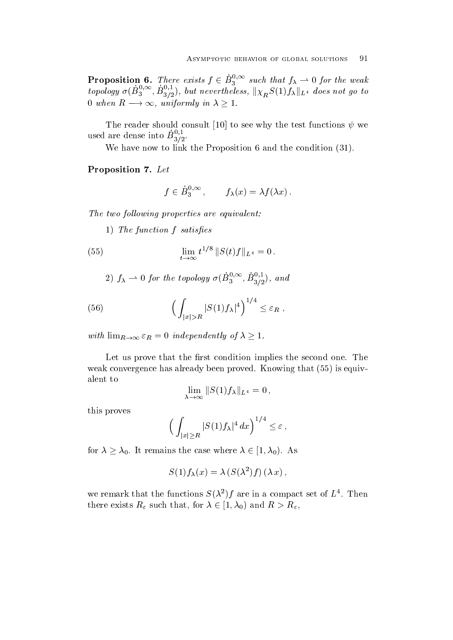**Proposition 6.** There exists  $f \in B_3^{\gamma, \infty}$  such that  $f_{\lambda}$  $\mathbf{S}$  such that  $\mathbf{S}$   $\mathbf{A}$  such that  $\mathbf{S}$  such that  $\mathbf{S}$ topology  $\sigma(B_2, \ldots, B_n)$ , but n  $\mathbb{E}^{0,\infty}_{3,2}$ ,  $B^{0,1}_{3/2}$ ), but nevertheless,  $\|\chi_{R}^{\vphantom{1}}S(1)f_\lambda\|_{L^4}$  does not go to 0 when  $R \longrightarrow \infty$ , uniformly in  $\lambda \geq 1$ .

The reader should consult [10] to see why the test functions  $\psi$  we used are dense into  $B_{3/2}^{-,-}$ .

We have now to link the proposition  $\mathcal{L}$  the condition  $\mathcal{L}$  and the condition  $\mathcal{L}$  and  $\mathcal{L}$ 

Proposition - Let

$$
f \in \dot{B}_3^{0,\infty}
$$
,  $f_{\lambda}(x) = \lambda f(\lambda x)$ .

**The two following properties are equivalent.** 

 $\blacksquare$   $\blacksquare$  for  $\blacksquare$  satisfying  $\blacksquare$ 

(55) 
$$
\lim_{t \to \infty} t^{1/8} ||S(t)f||_{L^4} = 0.
$$

2) 
$$
f_{\lambda} \rightarrow 0
$$
 for the topology  $\sigma(\dot{B}_3^{0,\infty}, \dot{B}_{3/2}^{0,1})$ , and

(56) 
$$
\left(\int_{|x|>R} |S(1)f_\lambda|^4\right)^{1/4} \leq \varepsilon_R,
$$

with  $\lim_{R\to\infty} \varepsilon_R = 0$  independently of  $\lambda \geq 1$ .

Let us prove that the first condition implies the second one. The we converge that alleged  $\mathbb{R}$  already been proved that all  $\mathbb{R}$  already been proved Knowing that all  $\mathbb{R}$ alent to

$$
\lim_{\lambda \to \infty} ||S(1)f_{\lambda}||_{L^4} = 0,
$$

this proves

$$
\Big(\int_{|x|\geq R} |S(1)f_\lambda|^4\,dx\Big)^{1/4}\leq \varepsilon\,,
$$

for  $\lambda \geq \lambda_0$ . It remains the case where  $\lambda \in [1, \lambda_0)$ . As

$$
S(1) f_{\lambda}(x) = \lambda \left( S(\lambda^2) f \right) (\lambda x) ,
$$

we remark that the functions  $S(X)$  if are in a compact set of  $L$  . Then there exists  $R_{\varepsilon}$  such that, for  $\lambda \in [1, \lambda_0)$  and  $R > R_{\varepsilon}$ ,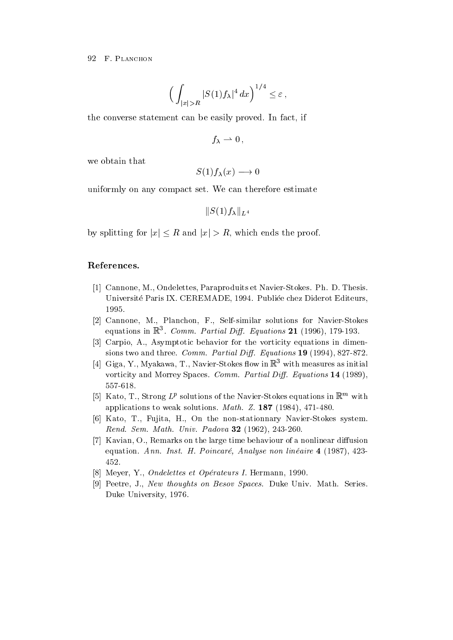$$
\Big(\int_{|x|>R}|S(1)f_\lambda|^4\,dx\Big)^{1/4}\leq\varepsilon\,,
$$

the converse statement can be easily proved. In fact, if

$$
f_{\lambda}\rightharpoonup 0\,,
$$

we obtain that

$$
S(1)f_{\lambda}(x) \longrightarrow 0
$$

uniformly on any compact set. We can therefore estimate

 $\|S(1)f_\lambda\|_{L^4}$ 

by splitting for  $|x| \leq R$  and  $|x| > R$ , which ends the proof.

### References-

- , a community condition in diplomatic section in the section of the model in the section of , and the part is published and  $P$  are the property of the property  $P$  and  $P$  are the property of  $\mathcal{P}$
- [2] Cannone, M., Planchon, F., Self-similar solutions for Navier-Stokes equations in  $\mathbb{R}$ . Comm. Partial Diff. Equations 21 (1990), 179-195.
- [3] Carpio, A., Asymptotic behavior for the vorticity equations in dimensions two and the Communications and the Communications of the Communications of the Communications of the Comm
- $|4|$  Giga, Y., Miyakawa, I., Navier-Stokes now in  $\mathbb R$  with measures as initial vorticity and Morrey Spaces Comm- Partial Di- Equations - -
- $\lceil 5 \rceil$  Kato, 1., Strong  $L^p$  solutions of the Navier-Stokes equations in  $\mathbb{R}^m$  with appears to a construction of the mathematic mathematic mathematic solutions of the solutions of the solution o
- [6] Kato, T., Fujita, H., On the non-stationnary Navier-Stokes system. Rend- Sem- Math- Univ- Padova -
- [7] Kavian, O., Remarks on the large time behaviour of a nonlinear diffusion equations and an extra resolution is an instrument of the set of the set of the set of the set of the set of t 452.
- Meyer
 Y Ondelettes et Operateurs I Hermann
 -
- [9] Peetre, J., New thoughts on Besov Spaces. Duke Univ. Math. Series. Duke University
 -